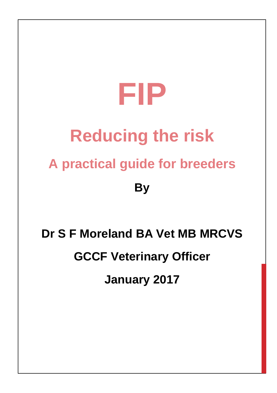

# **Reducing the risk A practical guide for breeders By**

**Dr S F Moreland BA Vet MB MRCVS**

**GCCF Veterinary Officer**

**January 2017**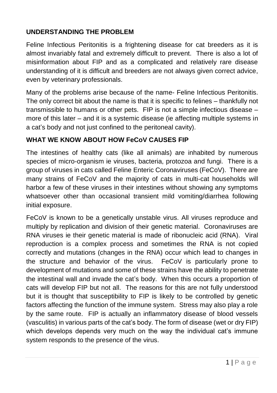#### **UNDERSTANDING THE PROBLEM**

Feline Infectious Peritonitis is a frightening disease for cat breeders as it is almost invariably fatal and extremely difficult to prevent. There is also a lot of misinformation about FIP and as a complicated and relatively rare disease understanding of it is difficult and breeders are not always given correct advice, even by veterinary professionals.

Many of the problems arise because of the name- Feline Infectious Peritonitis. The only correct bit about the name is that it is specific to felines – thankfully not transmissible to humans or other pets. FIP is not a simple infectious disease – more of this later – and it is a systemic disease (ie affecting multiple systems in a cat's body and not just confined to the peritoneal cavity).

#### **WHAT WE KNOW ABOUT HOW FeCoV CAUSES FIP**

The intestines of healthy cats (like all animals) are inhabited by numerous species of micro-organism ie viruses, bacteria, protozoa and fungi. There is a group of viruses in cats called Feline Enteric Coronaviruses (FeCoV). There are many strains of FeCoV and the majority of cats in multi-cat households will harbor a few of these viruses in their intestines without showing any symptoms whatsoever other than occasional transient mild vomiting/diarrhea following initial exposure.

FeCoV is known to be a genetically unstable virus. All viruses reproduce and multiply by replication and division of their genetic material. Coronaviruses are RNA viruses ie their genetic material is made of ribonucleic acid (RNA). Viral reproduction is a complex process and sometimes the RNA is not copied correctly and mutations (changes in the RNA) occur which lead to changes in the structure and behavior of the virus. FeCoV is particularly prone to development of mutations and some of these strains have the ability to penetrate the intestinal wall and invade the cat's body. When this occurs a proportion of cats will develop FIP but not all. The reasons for this are not fully understood but it is thought that susceptibility to FIP is likely to be controlled by genetic factors affecting the function of the immune system. Stress may also play a role by the same route. FIP is actually an inflammatory disease of blood vessels (vasculitis) in various parts of the cat's body. The form of disease (wet or dry FIP) which develops depends very much on the way the individual cat's immune system responds to the presence of the virus.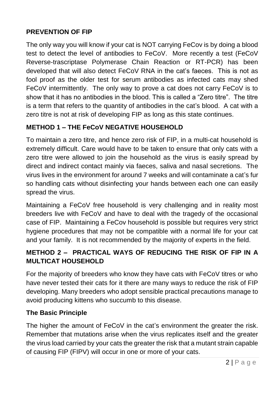## **PREVENTION OF FIP**

The only way you will know if your cat is NOT carrying FeCov is by doing a blood test to detect the level of antibodies to FeCoV. More recently a test (FeCoV Reverse-trascriptase Polymerase Chain Reaction or RT-PCR) has been developed that will also detect FeCoV RNA in the cat's faeces. This is not as fool proof as the older test for serum antibodies as infected cats may shed FeCoV intermittently. The only way to prove a cat does not carry FeCoV is to show that it has no antibodies in the blood. This is called a "Zero titre". The titre is a term that refers to the quantity of antibodies in the cat's blood. A cat with a zero titre is not at risk of developing FIP as long as this state continues.

## **METHOD 1 – THE FeCoV NEGATIVE HOUSEHOLD**

To maintain a zero titre, and hence zero risk of FIP, in a multi-cat household is extremely difficult. Care would have to be taken to ensure that only cats with a zero titre were allowed to join the household as the virus is easily spread by direct and indirect contact mainly via faeces, saliva and nasal secretions. The virus lives in the environment for around 7 weeks and will contaminate a cat's fur so handling cats without disinfecting your hands between each one can easily spread the virus.

Maintaining a FeCoV free household is very challenging and in reality most breeders live with FeCoV and have to deal with the tragedy of the occasional case of FIP. Maintaining a FeCov household is possible but requires very strict hygiene procedures that may not be compatible with a normal life for your cat and your family. It is not recommended by the majority of experts in the field.

## **METHOD 2 – PRACTICAL WAYS OF REDUCING THE RISK OF FIP IN A MULTICAT HOUSEHOLD**

For the majority of breeders who know they have cats with FeCoV titres or who have never tested their cats for it there are many ways to reduce the risk of FIP developing. Many breeders who adopt sensible practical precautions manage to avoid producing kittens who succumb to this disease.

#### **The Basic Principle**

The higher the amount of FeCoV in the cat's environment the greater the risk. Remember that mutations arise when the virus replicates itself and the greater the virus load carried by your cats the greater the risk that a mutant strain capable of causing FIP (FIPV) will occur in one or more of your cats.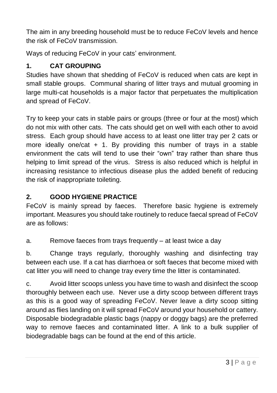The aim in any breeding household must be to reduce FeCoV levels and hence the risk of FeCoV transmission.

Ways of reducing FeCoV in your cats' environment.

# **1. CAT GROUPING**

Studies have shown that shedding of FeCoV is reduced when cats are kept in small stable groups. Communal sharing of litter trays and mutual grooming in large multi-cat households is a major factor that perpetuates the multiplication and spread of FeCoV.

Try to keep your cats in stable pairs or groups (three or four at the most) which do not mix with other cats. The cats should get on well with each other to avoid stress. Each group should have access to at least one litter tray per 2 cats or more ideally one/cat  $+$  1. By providing this number of trays in a stable environment the cats will tend to use their "own" tray rather than share thus helping to limit spread of the virus. Stress is also reduced which is helpful in increasing resistance to infectious disease plus the added benefit of reducing the risk of inappropriate toileting.

## **2. GOOD HYGIENE PRACTICE**

FeCoV is mainly spread by faeces. Therefore basic hygiene is extremely important. Measures you should take routinely to reduce faecal spread of FeCoV are as follows:

a. Remove faeces from trays frequently – at least twice a day

b. Change trays regularly, thoroughly washing and disinfecting tray between each use. If a cat has diarrhoea or soft faeces that become mixed with cat litter you will need to change tray every time the litter is contaminated.

c. Avoid litter scoops unless you have time to wash and disinfect the scoop thoroughly between each use. Never use a dirty scoop between different trays as this is a good way of spreading FeCoV. Never leave a dirty scoop sitting around as flies landing on it will spread FeCoV around your household or cattery. Disposable biodegradable plastic bags (nappy or doggy bags) are the preferred way to remove faeces and contaminated litter. A link to a bulk supplier of biodegradable bags can be found at the end of this article.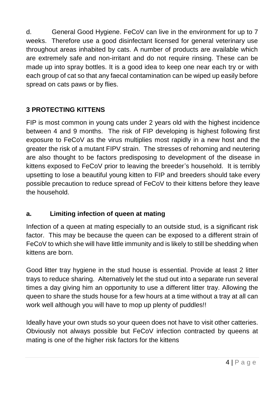d. General Good Hygiene. FeCoV can live in the environment for up to 7 weeks. Therefore use a good disinfectant licensed for general veterinary use throughout areas inhabited by cats. A number of products are available which are extremely safe and non-irritant and do not require rinsing. These can be made up into spray bottles. It is a good idea to keep one near each try or with each group of cat so that any faecal contamination can be wiped up easily before spread on cats paws or by flies.

# **3 PROTECTING KITTENS**

FIP is most common in young cats under 2 years old with the highest incidence between 4 and 9 months. The risk of FIP developing is highest following first exposure to FeCoV as the virus multiplies most rapidly in a new host and the greater the risk of a mutant FIPV strain. The stresses of rehoming and neutering are also thought to be factors predisposing to development of the disease in kittens exposed to FeCoV prior to leaving the breeder's household. It is terribly upsetting to lose a beautiful young kitten to FIP and breeders should take every possible precaution to reduce spread of FeCoV to their kittens before they leave the household.

## **a. Limiting infection of queen at mating**

Infection of a queen at mating especially to an outside stud, is a significant risk factor. This may be because the queen can be exposed to a different strain of FeCoV to which she will have little immunity and is likely to still be shedding when kittens are born.

Good litter tray hygiene in the stud house is essential. Provide at least 2 litter trays to reduce sharing. Alternatively let the stud out into a separate run several times a day giving him an opportunity to use a different litter tray. Allowing the queen to share the studs house for a few hours at a time without a tray at all can work well although you will have to mop up plenty of puddles!!

Ideally have your own studs so your queen does not have to visit other catteries. Obviously not always possible but FeCoV infection contracted by queens at mating is one of the higher risk factors for the kittens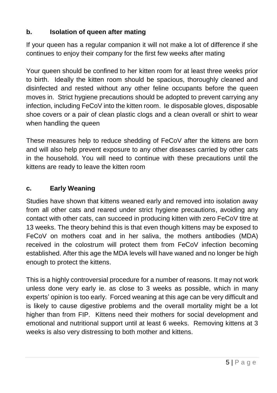## **b. Isolation of queen after mating**

If your queen has a regular companion it will not make a lot of difference if she continues to enjoy their company for the first few weeks after mating

Your queen should be confined to her kitten room for at least three weeks prior to birth. Ideally the kitten room should be spacious, thoroughly cleaned and disinfected and rested without any other feline occupants before the queen moves in. Strict hygiene precautions should be adopted to prevent carrying any infection, including FeCoV into the kitten room. Ie disposable gloves, disposable shoe covers or a pair of clean plastic clogs and a clean overall or shirt to wear when handling the queen

These measures help to reduce shedding of FeCoV after the kittens are born and will also help prevent exposure to any other diseases carried by other cats in the household. You will need to continue with these precautions until the kittens are ready to leave the kitten room

## **c. Early Weaning**

Studies have shown that kittens weaned early and removed into isolation away from all other cats and reared under strict hygiene precautions, avoiding any contact with other cats, can succeed in producing kitten with zero FeCoV titre at 13 weeks. The theory behind this is that even though kittens may be exposed to FeCoV on mothers coat and in her saliva, the mothers antibodies (MDA) received in the colostrum will protect them from FeCoV infection becoming established. After this age the MDA levels will have waned and no longer be high enough to protect the kittens.

This is a highly controversial procedure for a number of reasons. It may not work unless done very early ie. as close to 3 weeks as possible, which in many experts' opinion is too early. Forced weaning at this age can be very difficult and is likely to cause digestive problems and the overall mortality might be a lot higher than from FIP. Kittens need their mothers for social development and emotional and nutritional support until at least 6 weeks. Removing kittens at 3 weeks is also very distressing to both mother and kittens.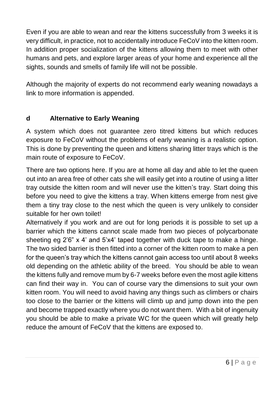Even if you are able to wean and rear the kittens successfully from 3 weeks it is very difficult, in practice, not to accidentally introduce FeCoV into the kitten room. In addition proper socialization of the kittens allowing them to meet with other humans and pets, and explore larger areas of your home and experience all the sights, sounds and smells of family life will not be possible.

Although the majority of experts do not recommend early weaning nowadays a link to more information is appended.

## **d Alternative to Early Weaning**

A system which does not guarantee zero titred kittens but which reduces exposure to FeCoV without the problems of early weaning is a realistic option. This is done by preventing the queen and kittens sharing litter trays which is the main route of exposure to FeCoV.

There are two options here. If you are at home all day and able to let the queen out into an area free of other cats she will easily get into a routine of using a litter tray outside the kitten room and will never use the kitten's tray. Start doing this before you need to give the kittens a tray. When kittens emerge from nest give them a tiny tray close to the nest which the queen is very unlikely to consider suitable for her own toilet!

Alternatively if you work and are out for long periods it is possible to set up a barrier which the kittens cannot scale made from two pieces of polycarbonate sheeting eg 2'6" x 4' and 5'x4' taped together with duck tape to make a hinge. The two sided barrier is then fitted into a corner of the kitten room to make a pen for the queen's tray which the kittens cannot gain access too until about 8 weeks old depending on the athletic ability of the breed. You should be able to wean the kittens fully and remove mum by 6-7 weeks before even the most agile kittens can find their way in. You can of course vary the dimensions to suit your own kitten room. You will need to avoid having any things such as climbers or chairs too close to the barrier or the kittens will climb up and jump down into the pen and become trapped exactly where you do not want them. With a bit of ingenuity you should be able to make a private WC for the queen which will greatly help reduce the amount of FeCoV that the kittens are exposed to.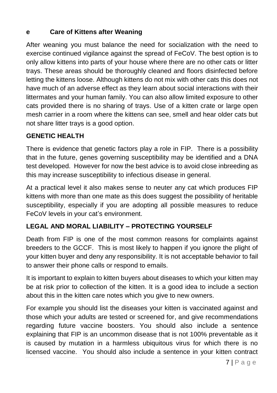## **e Care of Kittens after Weaning**

After weaning you must balance the need for socialization with the need to exercise continued vigilance against the spread of FeCoV. The best option is to only allow kittens into parts of your house where there are no other cats or litter trays. These areas should be thoroughly cleaned and floors disinfected before letting the kittens loose. Although kittens do not mix with other cats this does not have much of an adverse effect as they learn about social interactions with their littermates and your human family. You can also allow limited exposure to other cats provided there is no sharing of trays. Use of a kitten crate or large open mesh carrier in a room where the kittens can see, smell and hear older cats but not share litter trays is a good option.

## **GENETIC HEALTH**

There is evidence that genetic factors play a role in FIP. There is a possibility that in the future, genes governing susceptibility may be identified and a DNA test developed. However for now the best advice is to avoid close inbreeding as this may increase susceptibility to infectious disease in general.

At a practical level it also makes sense to neuter any cat which produces FIP kittens with more than one mate as this does suggest the possibility of heritable susceptibility, especially if you are adopting all possible measures to reduce FeCoV levels in your cat's environment.

## **LEGAL AND MORAL LIABILITY – PROTECTING YOURSELF**

Death from FIP is one of the most common reasons for complaints against breeders to the GCCF. This is most likely to happen if you ignore the plight of your kitten buyer and deny any responsibility. It is not acceptable behavior to fail to answer their phone calls or respond to emails.

It is important to explain to kitten buyers about diseases to which your kitten may be at risk prior to collection of the kitten. It is a good idea to include a section about this in the kitten care notes which you give to new owners.

For example you should list the diseases your kitten is vaccinated against and those which your adults are tested or screened for, and give recommendations regarding future vaccine boosters. You should also include a sentence explaining that FIP is an uncommon disease that is not 100% preventable as it is caused by mutation in a harmless ubiquitous virus for which there is no licensed vaccine. You should also include a sentence in your kitten contract